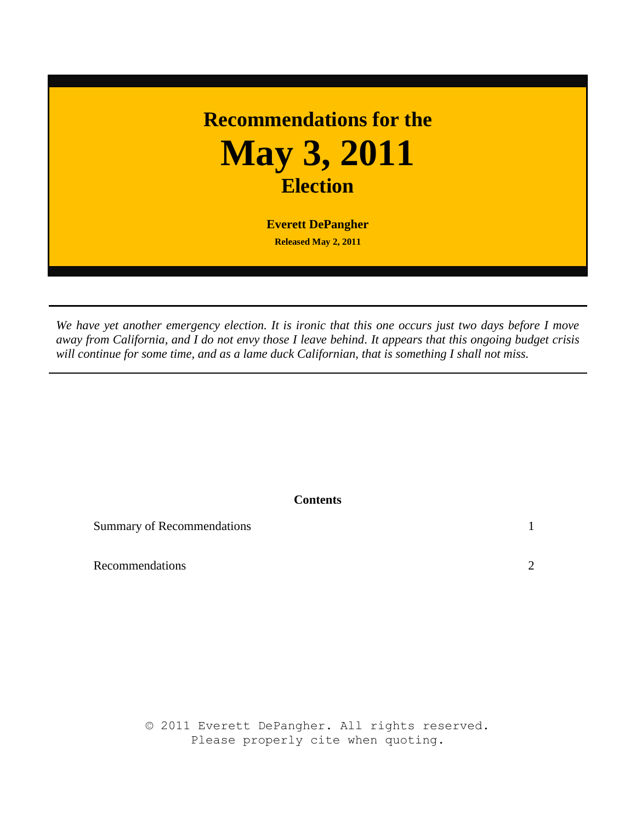## **Recommendations for the May 3, 2011 Election**

**Everett DePangher Released May 2, 2011**

*We have yet another emergency election. It is ironic that this one occurs just two days before I move away from California, and I do not envy those I leave behind. It appears that this ongoing budget crisis will continue for some time, and as a lame duck Californian, that is something I shall not miss.*

## **Contents**

Summary of Recommendations 1

Recommendations  $\sim$  2

© 2011 Everett DePangher. All rights reserved. Please properly cite when quoting.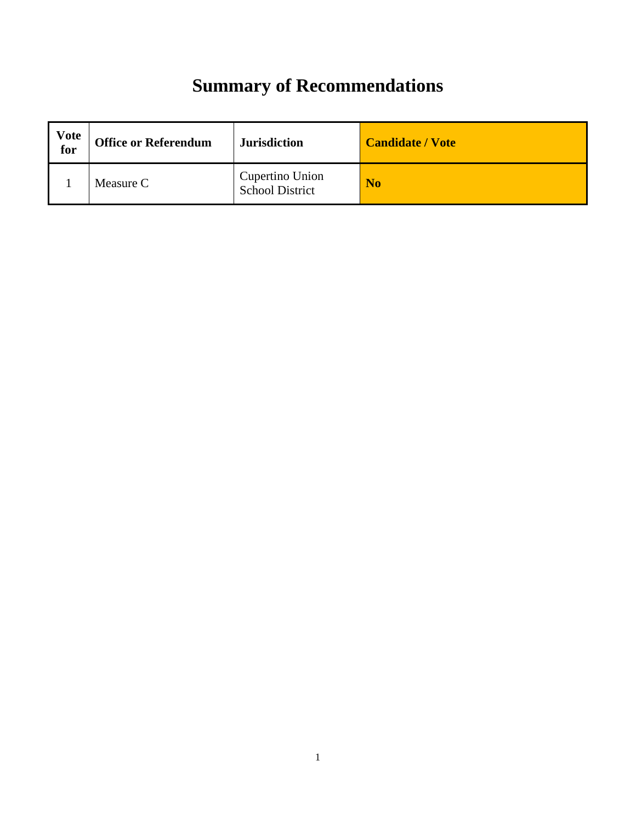## **Summary of Recommendations**

| Vote<br>for | <b>Office or Referendum</b> | <b>Jurisdiction</b>                       | <b>Candidate / Vote</b> |
|-------------|-----------------------------|-------------------------------------------|-------------------------|
|             | Measure C                   | Cupertino Union<br><b>School District</b> | N <sub>0</sub>          |